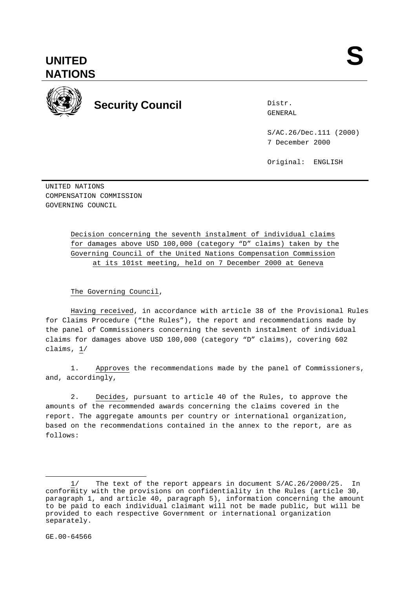

**Security Council Security Council** 

Distr.

S/AC.26/Dec.111 (2000) 7 December 2000

Original: ENGLISH

UNITED NATIONS COMPENSATION COMMISSION GOVERNING COUNCIL

> Decision concerning the seventh instalment of individual claims for damages above USD 100,000 (category "D" claims) taken by the Governing Council of the United Nations Compensation Commission at its 101st meeting, held on 7 December 2000 at Geneva

The Governing Council,

Having received, in accordance with article 38 of the Provisional Rules for Claims Procedure ("the Rules"), the report and recommendations made by the panel of Commissioners concerning the seventh instalment of individual claims for damages above USD 100,000 (category "D" claims), covering 602 claims, 1/

1. Approves the recommendations made by the panel of Commissioners, and, accordingly,

2. Decides, pursuant to article 40 of the Rules, to approve the amounts of the recommended awards concerning the claims covered in the report. The aggregate amounts per country or international organization, based on the recommendations contained in the annex to the report, are as follows:

 $\overline{a}$ 

<sup>1/</sup> The text of the report appears in document S/AC.26/2000/25. In conformity with the provisions on confidentiality in the Rules (article 30, paragraph 1, and article 40, paragraph 5), information concerning the amount to be paid to each individual claimant will not be made public, but will be provided to each respective Government or international organization separately.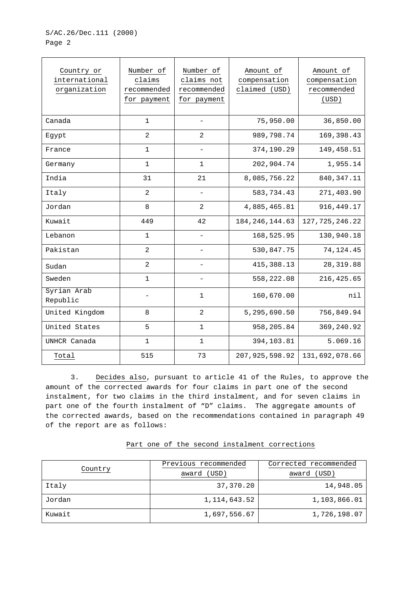| Country or<br>international<br>organization | Number of<br>claims<br>recommended<br>for payment | Number of<br>claims not<br>recommended<br>for payment | Amount of<br>compensation<br>claimed (USD) | Amount of<br>compensation<br>recommended<br>(USD) |
|---------------------------------------------|---------------------------------------------------|-------------------------------------------------------|--------------------------------------------|---------------------------------------------------|
| Canada                                      | $\mathbf{1}$                                      |                                                       | 75,950.00                                  | 36,850.00                                         |
| Egypt                                       | $\overline{2}$                                    | 2                                                     | 989,798.74                                 | 169, 398.43                                       |
| France                                      | 1                                                 | $\qquad \qquad -$                                     | 374,190.29                                 | 149,458.51                                        |
| Germany                                     | 1                                                 | $\mathbf{1}$                                          | 202,904.74                                 | 1,955.14                                          |
| India                                       | 31                                                | 21                                                    | 8,085,756.22                               | 840, 347. 11                                      |
| Italy                                       | $\overline{c}$                                    |                                                       | 583,734.43                                 | 271,403.90                                        |
| Jordan                                      | 8                                                 | 2                                                     | 4,885,465.81                               | 916, 449. 17                                      |
| Kuwait                                      | 449                                               | 42                                                    | 184, 246, 144.63                           | 127, 725, 246.22                                  |
| Lebanon                                     | $\mathbf{1}$                                      |                                                       | 168,525.95                                 | 130,940.18                                        |
| Pakistan                                    | $\overline{2}$                                    |                                                       | 530,847.75                                 | 74, 124. 45                                       |
| Sudan                                       | $\overline{c}$                                    | $\overline{\phantom{0}}$                              | 415, 388.13                                | 28, 319.88                                        |
| Sweden                                      | $\mathbf{1}$                                      |                                                       | 558,222.08                                 | 216, 425.65                                       |
| Syrian Arab<br>Republic                     |                                                   | $\mathbf 1$                                           | 160,670.00                                 | nil                                               |
| United Kingdom                              | 8                                                 | $\overline{a}$                                        | 5,295,690.50                               | 756,849.94                                        |
| United States                               | 5                                                 | $\mathbf{1}$                                          | 958,205.84                                 | 369,240.92                                        |
| UNHCR Canada                                | 1                                                 | 1                                                     | 394,103.81                                 | 5.069.16                                          |
| Total                                       | 515                                               | 73                                                    | 207, 925, 598.92                           | 131,692,078.66                                    |

3. Decides also, pursuant to article 41 of the Rules, to approve the amount of the corrected awards for four claims in part one of the second instalment, for two claims in the third instalment, and for seven claims in part one of the fourth instalment of "D" claims. The aggregate amounts of the corrected awards, based on the recommendations contained in paragraph 49 of the report are as follows:

| Country | Previous recommended | Corrected recommended |
|---------|----------------------|-----------------------|
|         | (USD)<br>award       | (USD)<br>award        |
| Italy   | 37,370.20            | 14,948.05             |
| Jordan  | 1,114,643.52         | 1,103,866.01          |
| Kuwait  | 1,697,556.67         | 1,726,198.07          |

## Part one of the second instalment corrections